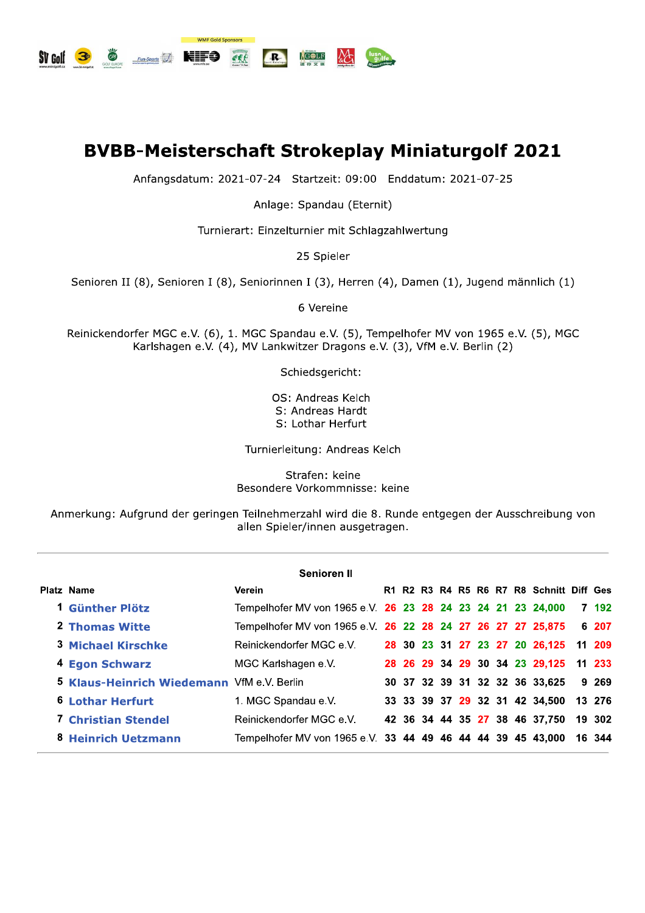

## **BVBB-Meisterscha B-Meisterschaft Strokeplay Miniaturgolf 2021**<br>
Anfangsdatum: 2021-07-24 Startzeit: 09:00 Enddatum: 2021-07-25<br>
Anlage: Spandau (Eternit)<br>
Turnierart: Einzelturnier mit Schlagzahlwertung<br>
25 Spieler<br>
II (8), Senioren I (8)

Anlage: Spandau (Eternit)

Turnierart: Einzelturnier mit Schlagzahlwertung

25 Spieler

Senioren II (8), Senioren I (8), Seniorinnen I (3), Herren (4), Damen (1), Jugend männlich (1)

6 Vereine

Reinickendorfer MGC e.V. (6), 1. MGC Spandau e.V. (5), Tempelhofer MV von 1965 e.V. (5), MGC Karlshagen e.V. (4), MV Lankwitzer Dragons e.V. (3), VfM e.V. Berlin (2)

Schiedsgericht:

OS: Andreas Kelch S: Andreas Hardt S: Lothar Herfurt

Turnierieitung: Andreas Keich

Strafen: keine Besondere Vorkommnisse: keine

Anmerkung: Aurgrund der geringen Teilnehmerzahl wird die 8. Kunde entgegen der Ausschreibung von allen Spieler/innen ausgetragen.

|                                                   | <b>Senioren II</b>                                          |  |  |  |  |                                          |        |
|---------------------------------------------------|-------------------------------------------------------------|--|--|--|--|------------------------------------------|--------|
| Platz Name                                        | Verein                                                      |  |  |  |  | R1 R2 R3 R4 R5 R6 R7 R8 Schnitt Diff Ges |        |
| 1 Günther Plötz                                   | Tempelhofer MV von 1965 e.V. 26 23 28 24 23 24 21 23 24,000 |  |  |  |  |                                          | 7 192  |
| 2 Thomas Witte                                    | Tempelhofer MV von 1965 e.V. 26 22 28 24 27 26 27 27 25,875 |  |  |  |  |                                          | 6 207  |
| <b>3 Michael Kirschke</b>                         | Reinickendorfer MGC e.V.                                    |  |  |  |  | 28 30 23 31 27 23 27 20 26,125           | 11 209 |
| 4 Egon Schwarz                                    | MGC Karlshagen e.V.                                         |  |  |  |  | 28 26 29 34 29 30 34 23 29,125           | 11 233 |
| <b>5 Klaus-Heinrich Wiedemann</b> VfM e.V. Berlin |                                                             |  |  |  |  | 30 37 32 39 31 32 32 36 33,625           | 9 269  |
| 6 Lothar Herfurt                                  | 1. MGC Spandau e.V.                                         |  |  |  |  | 33 33 39 37 29 32 31 42 34,500           | 13 276 |
| <b>7 Christian Stendel</b>                        | Reinickendorfer MGC e.V.                                    |  |  |  |  | 42 36 34 44 35 27 38 46 37,750           | 19 302 |
| 8 Heinrich Uetzmann                               | Tempelhofer MV von 1965 e.V. 33 44 49 46 44 44 39 45 43,000 |  |  |  |  |                                          | 16 344 |